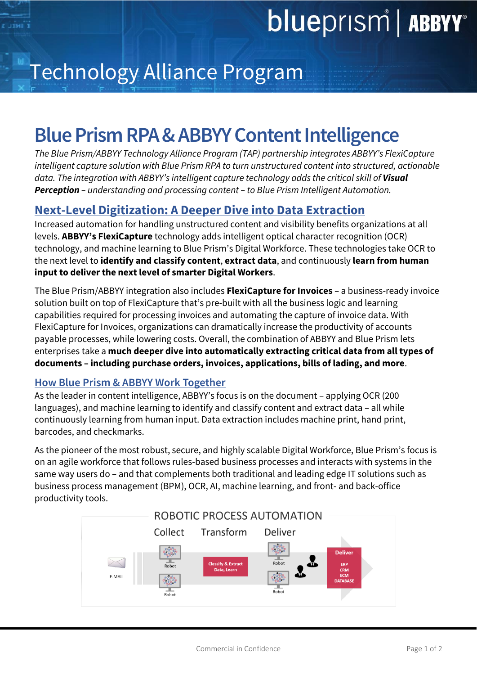

# Technology Alliance Program

### **Blue Prism RPA & ABBYY Content Intelligence**

*The Blue Prism/ABBYY Technology Alliance Program (TAP) partnership integrates ABBYY's FlexiCapture intelligent capture solution with Blue Prism RPA to turn unstructured content into structured, actionable data. The integration with ABBYY's intelligent capture technology adds the critical skill of Visual Perception – understanding and processing content – to Blue Prism Intelligent Automation.* 

### **Next-Level Digitization: A Deeper Dive into Data Extraction**

Increased automation for handling unstructured content and visibility benefits organizations at all levels. **ABBYY's FlexiCapture** technology adds intelligent optical character recognition (OCR) technology, and machine learning to Blue Prism's Digital Workforce. These technologies take OCR to the next level to **identify and classify content**, **extract data**, and continuously **learn from human input to deliver the next level of smarter Digital Workers**.

The Blue Prism/ABBYY integration also includes **FlexiCapture for Invoices** – a business-ready invoice solution built on top of FlexiCapture that's pre-built with all the business logic and learning capabilities required for processing invoices and automating the capture of invoice data. With FlexiCapture for Invoices, organizations can dramatically increase the productivity of accounts payable processes, while lowering costs. Overall, the combination of ABBYY and Blue Prism lets enterprises take a **much deeper dive into automatically extracting critical data from all types of documents – including purchase orders, invoices, applications, bills of lading, and more**.

### **How Blue Prism & ABBYY Work Together**

As the leader in content intelligence, ABBYY's focus is on the document – applying OCR (200 languages), and machine learning to identify and classify content and extract data – all while continuously learning from human input. Data extraction includes machine print, hand print, barcodes, and checkmarks.

As the pioneer of the most robust, secure, and highly scalable Digital Workforce, Blue Prism's focus is on an agile workforce that follows rules-based business processes and interacts with systems in the same way users do – and that complements both traditional and leading edge IT solutions such as business process management (BPM), OCR, AI, machine learning, and front- and back-office productivity tools.